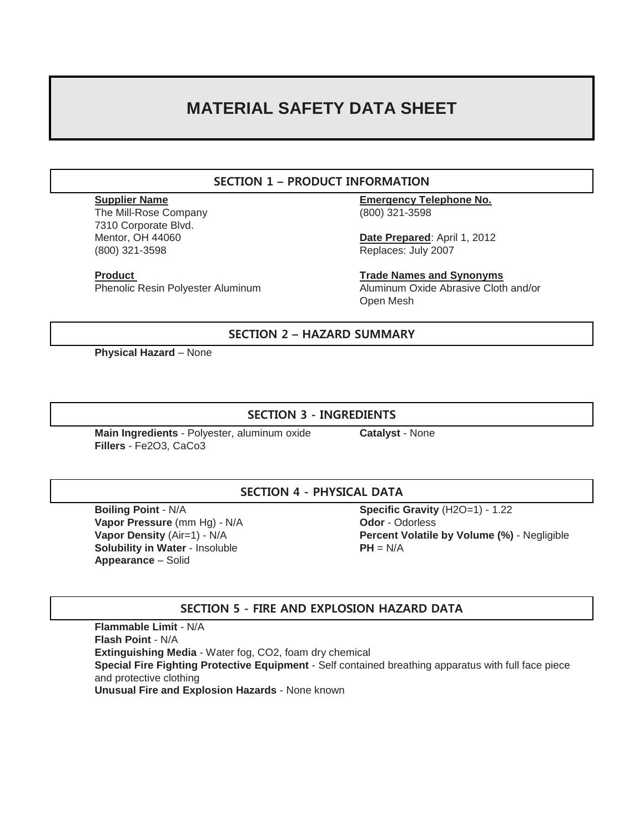# **MATERIAL SAFETY DATA SHEET**

# **SECTION 1 – PRODUCT INFORMATION**

The Mill-Rose Company (800) 321-3598 7310 Corporate Blvd. (800) 321-3598 Replaces: July 2007

**Supplier Name Emergency Telephone No.**

Mentor, OH 44060 **Date Prepared**: April 1, 2012

**Product Trade Names and Synonyms** Phenolic Resin Polyester Aluminum Aluminum Oxide Abrasive Cloth and/or Open Mesh

## **SECTION 2 – HAZARD SUMMARY**

**Physical Hazard** – None

# **SECTION 3 - INGREDIENTS**

**Main Ingredients** - Polyester, aluminum oxide **Catalyst** - None **Fillers** - Fe2O3, CaCo3

# **SECTION 4 - PHYSICAL DATA**

**Vapor Pressure** (mm Hg) - N/A **Odor** - Odorless **Solubility in Water** - Insoluble **PH** = N/A **Appearance** – Solid

**Boiling Point** - N/A **Specific Gravity** (H2O=1) - 1.22 **Vapor Density** (Air=1) - N/A **Percent Volatile by Volume (%)** - Negligible

# **SECTION 5 - FIRE AND EXPLOSION HAZARD DATA**

**Flammable Limit** - N/A **Flash Point** - N/A **Extinguishing Media** - Water fog, CO2, foam dry chemical **Special Fire Fighting Protective Equipment** - Self contained breathing apparatus with full face piece and protective clothing **Unusual Fire and Explosion Hazards** - None known